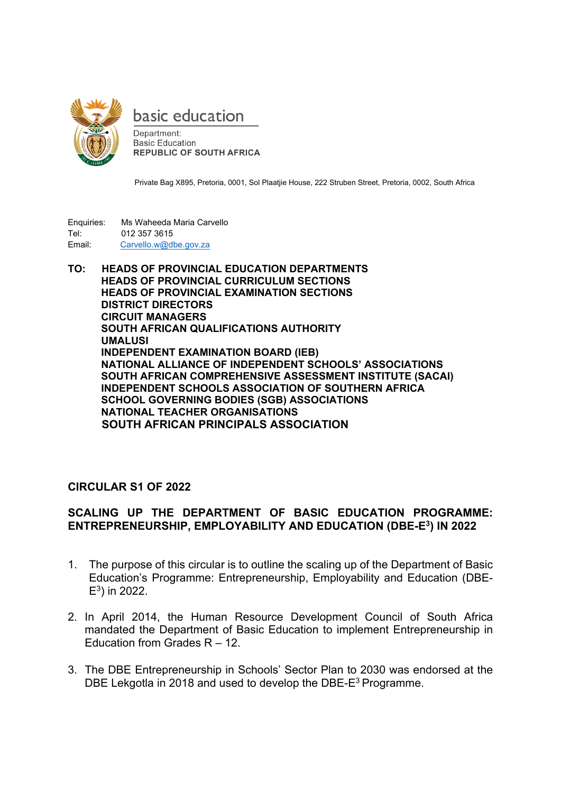

basic education

Department: **Basic Education REPUBLIC OF SOUTH AFRICA** 

Private Bag X895, Pretoria, 0001, Sol Plaatjie House, 222 Struben Street, Pretoria, 0002, South Africa

Enquiries: Ms Waheeda Maria Carvello Tel: 012 357 3615 Email: Carvello.w@dbe.gov.za

**TO: HEADS OF PROVINCIAL EDUCATION DEPARTMENTS HEADS OF PROVINCIAL CURRICULUM SECTIONS HEADS OF PROVINCIAL EXAMINATION SECTIONS DISTRICT DIRECTORS CIRCUIT MANAGERS SOUTH AFRICAN QUALIFICATIONS AUTHORITY UMALUSI INDEPENDENT EXAMINATION BOARD (IEB) NATIONAL ALLIANCE OF INDEPENDENT SCHOOLS' ASSOCIATIONS SOUTH AFRICAN COMPREHENSIVE ASSESSMENT INSTITUTE (SACAI) INDEPENDENT SCHOOLS ASSOCIATION OF SOUTHERN AFRICA SCHOOL GOVERNING BODIES (SGB) ASSOCIATIONS NATIONAL TEACHER ORGANISATIONS SOUTH AFRICAN PRINCIPALS ASSOCIATION** 

## **CIRCULAR S1 OF 2022**

## **SCALING UP THE DEPARTMENT OF BASIC EDUCATION PROGRAMME: ENTREPRENEURSHIP, EMPLOYABILITY AND EDUCATION (DBE-E<sup>3</sup> ) IN 2022**

- 1. The purpose of this circular is to outline the scaling up of the Department of Basic Education's Programme: Entrepreneurship, Employability and Education (DBE- $E^3$ ) in 2022.
- 2. In April 2014, the Human Resource Development Council of South Africa mandated the Department of Basic Education to implement Entrepreneurship in Education from Grades R – 12.
- 3. The DBE Entrepreneurship in Schools' Sector Plan to 2030 was endorsed at the DBE Lekgotla in 2018 and used to develop the DBE-E<sup>3</sup> Programme.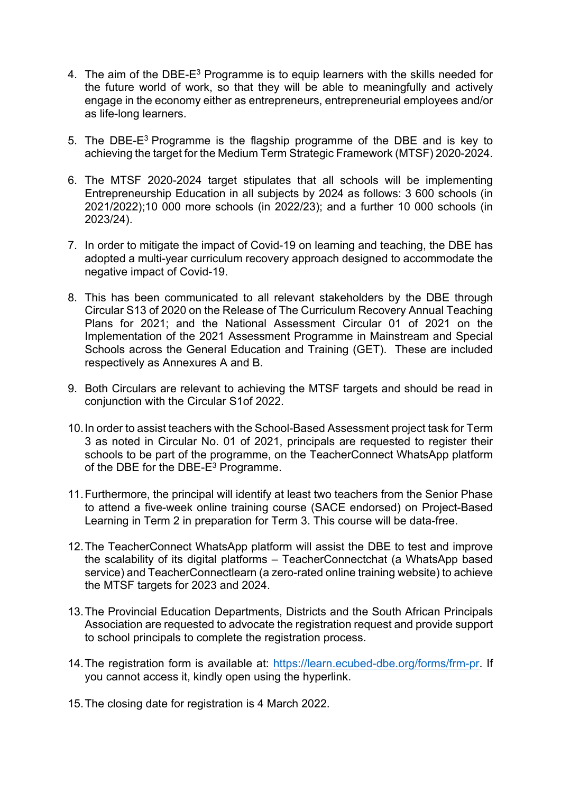- 4. The aim of the DBE-E<sup>3</sup> Programme is to equip learners with the skills needed for the future world of work, so that they will be able to meaningfully and actively engage in the economy either as entrepreneurs, entrepreneurial employees and/or as life-long learners.
- 5. The DBE-E<sup>3</sup> Programme is the flagship programme of the DBE and is key to achieving the target for the Medium Term Strategic Framework (MTSF) 2020-2024.
- 6. The MTSF 2020-2024 target stipulates that all schools will be implementing Entrepreneurship Education in all subjects by 2024 as follows: 3 600 schools (in 2021/2022);10 000 more schools (in 2022/23); and a further 10 000 schools (in 2023/24).
- 7. In order to mitigate the impact of Covid-19 on learning and teaching, the DBE has adopted a multi-year curriculum recovery approach designed to accommodate the negative impact of Covid-19.
- 8. This has been communicated to all relevant stakeholders by the DBE through Circular S13 of 2020 on the Release of The Curriculum Recovery Annual Teaching Plans for 2021; and the National Assessment Circular 01 of 2021 on the Implementation of the 2021 Assessment Programme in Mainstream and Special Schools across the General Education and Training (GET). These are included respectively as Annexures A and B.
- 9. Both Circulars are relevant to achieving the MTSF targets and should be read in conjunction with the Circular S1of 2022.
- 10.In order to assist teachers with the School-Based Assessment project task for Term 3 as noted in Circular No. 01 of 2021, principals are requested to register their schools to be part of the programme, on the TeacherConnect WhatsApp platform of the DBE for the DBE-E<sup>3</sup> Programme.
- 11.Furthermore, the principal will identify at least two teachers from the Senior Phase to attend a five-week online training course (SACE endorsed) on Project-Based Learning in Term 2 in preparation for Term 3. This course will be data-free.
- 12.The TeacherConnect WhatsApp platform will assist the DBE to test and improve the scalability of its digital platforms – TeacherConnectchat (a WhatsApp based service) and TeacherConnectlearn (a zero-rated online training website) to achieve the MTSF targets for 2023 and 2024.
- 13.The Provincial Education Departments, Districts and the South African Principals Association are requested to advocate the registration request and provide support to school principals to complete the registration process.
- 14. The registration form is available at: [https://learn.ecubed-dbe.org/forms/frm-pr.](https://learn.ecubed-dbe.org/forms/frm-pr) If you cannot access it, kindly open using the hyperlink.
- 15.The closing date for registration is 4 March 2022.